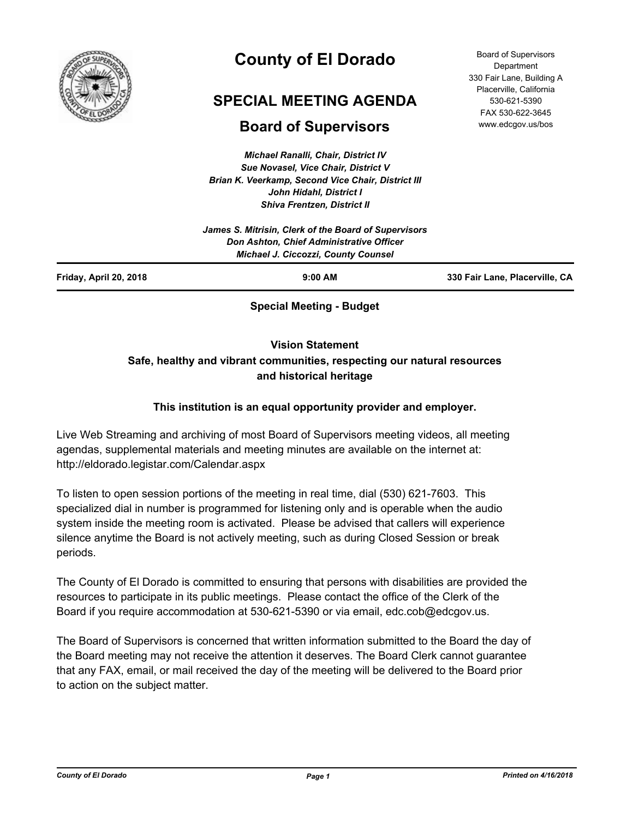

# **County of El Dorado**

## **SPECIAL MEETING AGENDA**

## **Board of Supervisors**

*Michael Ranalli, Chair, District IV Sue Novasel, Vice Chair, District V Brian K. Veerkamp, Second Vice Chair, District III John Hidahl, District I Shiva Frentzen, District II*

Board of Supervisors **Department** 330 Fair Lane, Building A Placerville, California 530-621-5390 FAX 530-622-3645 www.edcgov.us/bos

| Friday, April 20, 2018 | $9:00$ AM                                                                              | 330 Fair Lane, Placerville, CA |
|------------------------|----------------------------------------------------------------------------------------|--------------------------------|
|                        | Don Ashton, Chief Administrative Officer<br><b>Michael J. Ciccozzi, County Counsel</b> |                                |
|                        | James S. Mitrisin, Clerk of the Board of Supervisors                                   |                                |

**Special Meeting - Budget**

**Vision Statement** 

## **Safe, healthy and vibrant communities, respecting our natural resources and historical heritage**

### **This institution is an equal opportunity provider and employer.**

Live Web Streaming and archiving of most Board of Supervisors meeting videos, all meeting agendas, supplemental materials and meeting minutes are available on the internet at: http://eldorado.legistar.com/Calendar.aspx

To listen to open session portions of the meeting in real time, dial (530) 621-7603. This specialized dial in number is programmed for listening only and is operable when the audio system inside the meeting room is activated. Please be advised that callers will experience silence anytime the Board is not actively meeting, such as during Closed Session or break periods.

The County of El Dorado is committed to ensuring that persons with disabilities are provided the resources to participate in its public meetings. Please contact the office of the Clerk of the Board if you require accommodation at 530-621-5390 or via email, edc.cob@edcgov.us.

The Board of Supervisors is concerned that written information submitted to the Board the day of the Board meeting may not receive the attention it deserves. The Board Clerk cannot guarantee that any FAX, email, or mail received the day of the meeting will be delivered to the Board prior to action on the subject matter.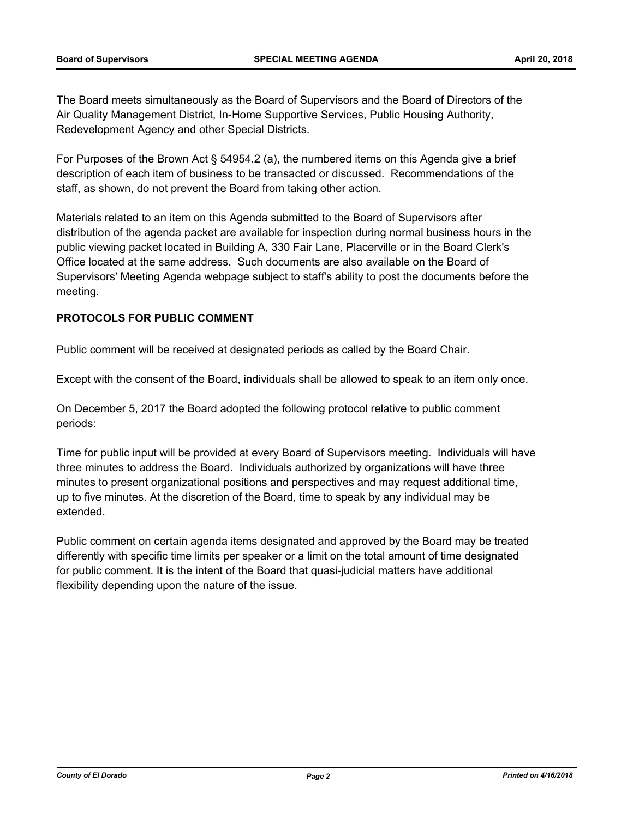The Board meets simultaneously as the Board of Supervisors and the Board of Directors of the Air Quality Management District, In-Home Supportive Services, Public Housing Authority, Redevelopment Agency and other Special Districts.

For Purposes of the Brown Act § 54954.2 (a), the numbered items on this Agenda give a brief description of each item of business to be transacted or discussed. Recommendations of the staff, as shown, do not prevent the Board from taking other action.

Materials related to an item on this Agenda submitted to the Board of Supervisors after distribution of the agenda packet are available for inspection during normal business hours in the public viewing packet located in Building A, 330 Fair Lane, Placerville or in the Board Clerk's Office located at the same address. Such documents are also available on the Board of Supervisors' Meeting Agenda webpage subject to staff's ability to post the documents before the meeting.

#### **PROTOCOLS FOR PUBLIC COMMENT**

Public comment will be received at designated periods as called by the Board Chair.

Except with the consent of the Board, individuals shall be allowed to speak to an item only once.

On December 5, 2017 the Board adopted the following protocol relative to public comment periods:

Time for public input will be provided at every Board of Supervisors meeting. Individuals will have three minutes to address the Board. Individuals authorized by organizations will have three minutes to present organizational positions and perspectives and may request additional time, up to five minutes. At the discretion of the Board, time to speak by any individual may be extended.

Public comment on certain agenda items designated and approved by the Board may be treated differently with specific time limits per speaker or a limit on the total amount of time designated for public comment. It is the intent of the Board that quasi-judicial matters have additional flexibility depending upon the nature of the issue.